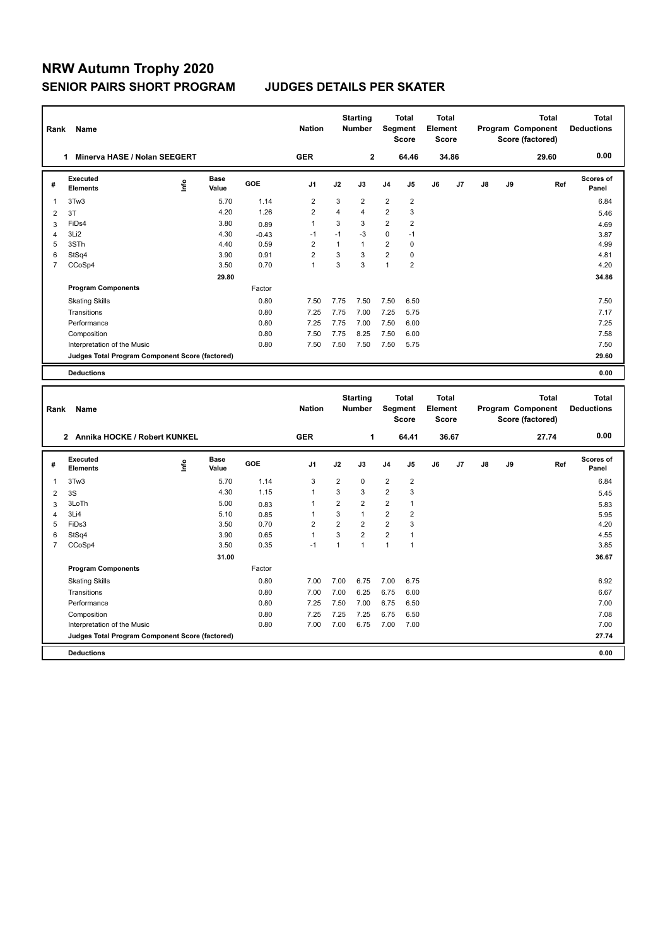## **NRW Autumn Trophy 2020 SENIOR PAIRS SHORT PROGRAM JUDGES DETAILS PER SKATER**

| Rank<br>Name                                   |                                                 |      |               |         |                |                | <b>Starting</b><br><b>Number</b> |                | <b>Total</b><br>Segment<br><b>Score</b> | <b>Total</b><br>Element<br><b>Score</b> |                |    |    | <b>Total</b><br><b>Program Component</b><br>Score (factored) | <b>Total</b><br><b>Deductions</b> |
|------------------------------------------------|-------------------------------------------------|------|---------------|---------|----------------|----------------|----------------------------------|----------------|-----------------------------------------|-----------------------------------------|----------------|----|----|--------------------------------------------------------------|-----------------------------------|
|                                                | Minerva HASE / Nolan SEEGERT                    |      |               |         | <b>GER</b>     |                | $\mathbf{2}$                     |                | 64.46                                   |                                         | 34.86          |    |    | 29.60                                                        | 0.00                              |
| #                                              | Executed<br><b>Elements</b>                     | ١nf٥ | Base<br>Value | GOE     | J <sub>1</sub> | J2             | J3                               | J <sub>4</sub> | J <sub>5</sub>                          | J6                                      | J <sub>7</sub> | J8 | J9 | Ref                                                          | Scores of<br>Panel                |
| 1                                              | 3Tw3                                            |      | 5.70          | 1.14    | $\overline{2}$ | 3              | $\overline{2}$                   | $\overline{2}$ | $\overline{2}$                          |                                         |                |    |    |                                                              | 6.84                              |
| 2                                              | 3T                                              |      | 4.20          | 1.26    | $\overline{2}$ | $\overline{4}$ | 4                                | $\overline{2}$ | 3                                       |                                         |                |    |    |                                                              | 5.46                              |
| 3                                              | FiDs4                                           |      | 3.80          | 0.89    | $\overline{1}$ | 3              | 3                                | $\overline{2}$ | $\overline{2}$                          |                                         |                |    |    |                                                              | 4.69                              |
| 4                                              | 3Li <sub>2</sub>                                |      | 4.30          | $-0.43$ | $-1$           | $-1$           | $-3$                             | 0              | $-1$                                    |                                         |                |    |    |                                                              | 3.87                              |
| 5                                              | 3STh                                            |      | 4.40          | 0.59    | $\overline{2}$ | $\mathbf{1}$   | $\mathbf{1}$                     | $\overline{2}$ | $\mathbf 0$                             |                                         |                |    |    |                                                              | 4.99                              |
| 6                                              | StSq4                                           |      | 3.90          | 0.91    | $\overline{2}$ | 3              | 3                                | $\overline{2}$ | $\mathbf 0$                             |                                         |                |    |    |                                                              | 4.81                              |
| 7                                              | CCoSp4                                          |      | 3.50          | 0.70    | $\overline{1}$ | 3              | 3                                | $\mathbf{1}$   | $\overline{2}$                          |                                         |                |    |    |                                                              | 4.20                              |
|                                                |                                                 |      | 29.80         |         |                |                |                                  |                |                                         |                                         |                |    |    |                                                              | 34.86                             |
|                                                | <b>Program Components</b>                       |      |               | Factor  |                |                |                                  |                |                                         |                                         |                |    |    |                                                              |                                   |
|                                                | <b>Skating Skills</b>                           |      |               | 0.80    | 7.50           | 7.75           | 7.50                             | 7.50           | 6.50                                    |                                         |                |    |    |                                                              | 7.50                              |
|                                                | Transitions                                     |      |               | 0.80    | 7.25           | 7.75           | 7.00                             | 7.25           | 5.75                                    |                                         |                |    |    |                                                              | 7.17                              |
|                                                | Performance                                     |      |               | 0.80    | 7.25           | 7.75           | 7.00                             | 7.50           | 6.00                                    |                                         |                |    |    |                                                              | 7.25                              |
|                                                | Composition                                     |      |               | 0.80    | 7.50           | 7.75           | 8.25                             | 7.50           | 6.00                                    |                                         |                |    |    |                                                              | 7.58                              |
|                                                | Interpretation of the Music                     |      |               | 0.80    | 7.50           | 7.50           | 7.50                             | 7.50           | 5.75                                    |                                         |                |    |    |                                                              | 7.50                              |
|                                                | Judges Total Program Component Score (factored) |      |               |         |                |                |                                  |                |                                         |                                         |                |    |    |                                                              | 29.60                             |
|                                                | <b>Deductions</b>                               |      |               |         |                |                |                                  |                |                                         |                                         |                |    |    |                                                              | 0.00                              |
|                                                |                                                 |      |               |         |                |                |                                  |                |                                         |                                         |                |    |    |                                                              |                                   |
| Rank                                           | Name                                            |      |               |         | <b>Nation</b>  |                | <b>Starting</b><br><b>Number</b> |                | <b>Total</b><br>Segment<br><b>Score</b> | <b>Total</b><br>Element<br>Score        |                |    |    | <b>Total</b><br>Program Component<br>Score (factored)        | <b>Total</b><br><b>Deductions</b> |
| Annika HOCKE / Robert KUNKEL<br>$\overline{2}$ |                                                 |      |               |         |                |                | 1                                | 64.41          |                                         | 36.67                                   |                |    |    | 27.74                                                        | 0.00                              |

**Value GOE J1 J2 J3 J4 J5 J6 J7 J8 J9** 

**31.00 36.67** 

ستان کا بیست ہے کہ اس سے ایس سے ایس سے ایس سے ایس سے ایس سے ایس سے ایس سے ایس سے ایس سے ایس سے ایس سے ایس سے ا<br>1.14 13 2 0 2 2 13 13 14 15 Joseph Scholars Panel<br>3Tw3 1.14 3 2 0 2 2

Skating Skills 7.00 7.00 6.75 7.00 6.75 0.80 6.92

Transitions 0.80 7.00 7.00 6.25 6.75 6.00 6.67 Performance 0.80 7.25 7.50 7.00 6.75 6.50 7.00

2 3S 5.45 5.45 5.45 1 3 3 2 3 3LoTh 5.83  $5.00$   $0.83$   $1$   $2$   $2$   $2$   $1$   $3$  3Li4 5.10 0.85 1 3 1 2 2 5.95 FiDs3 3.50 0.70 2 2 2 2 3 4.20 StSq4 3.90 0.65 1 3 2 2 1 4.55 CCoSp4 3.50 0.35 -1 1 1 1 1 3.85

**Scores of Panel**

**Ref** 

| Composition                                     | 0.80 | 7.25 | 7.25 | $^{\prime}$ .25 | 6.75 | 6.50 | 7.08  |
|-------------------------------------------------|------|------|------|-----------------|------|------|-------|
| Interpretation of the Music                     | 0.80 | 7.00 | 7.00 | 6.75            | 7.00 | 7.00 | 7.00  |
| Judges Total Program Component Score (factored) |      |      |      |                 |      |      | 27.74 |

**Base** 

1 5.70 1.14 3 2 0 2 2

Factor

**Deductions 0.00**

**Program Components** 

**#** 

**Executed Elements**